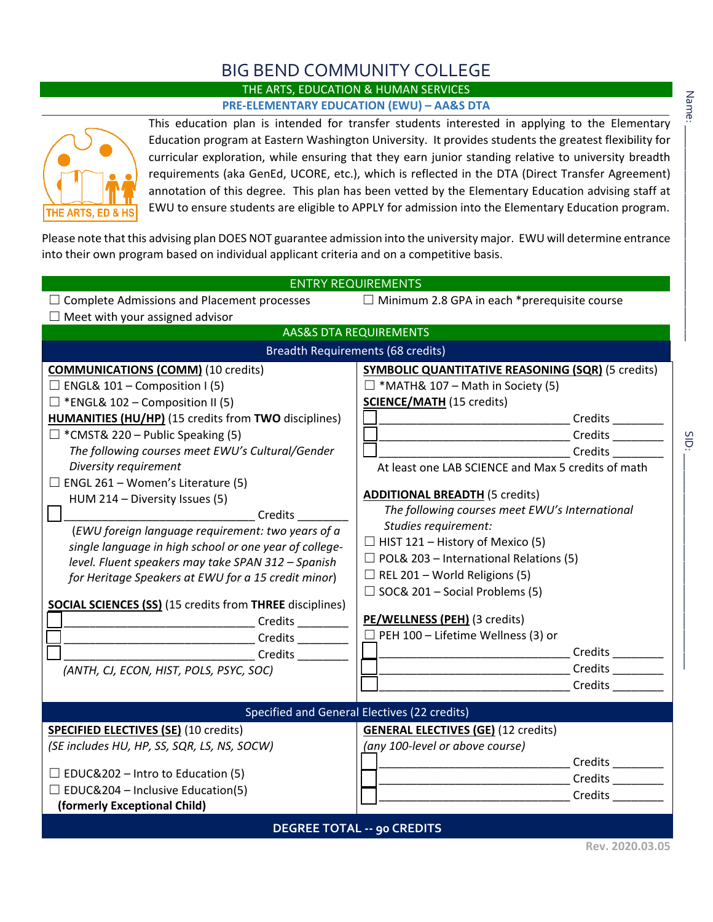## BIG BEND COMMUNITY COLLEGE

## THE ARTS, EDUCATION & HUMAN SERVICES **PRE-ELEMENTARY EDUCATION (EWU) – AA&S DTA**



This education plan is intended for transfer students interested in applying to the Elementary Education program at Eastern Washington University. It provides students the greatest flexibility for curricular exploration, while ensuring that they earn junior standing relative to university breadth requirements (aka GenEd, UCORE, etc.), which is reflected in the DTA (Direct Transfer Agreement) annotation of this degree. This plan has been vetted by the Elementary Education advising staff at EWU to ensure students are eligible to APPLY for admission into the Elementary Education program.

Please note that this advising plan DOES NOT guarantee admission into the university major. EWU will determine entrance into their own program based on individual applicant criteria and on a competitive basis.

| <b>ENTRY REQUIREMENTS</b>                                                                                                                                                                                                                                                                                                                                                                                                                                                                                                                                                                                                                                                                                                                  |                                                                                                                                                                                                                                                                                                                                                                                                                                                                                                                                                                                                                                                          |
|--------------------------------------------------------------------------------------------------------------------------------------------------------------------------------------------------------------------------------------------------------------------------------------------------------------------------------------------------------------------------------------------------------------------------------------------------------------------------------------------------------------------------------------------------------------------------------------------------------------------------------------------------------------------------------------------------------------------------------------------|----------------------------------------------------------------------------------------------------------------------------------------------------------------------------------------------------------------------------------------------------------------------------------------------------------------------------------------------------------------------------------------------------------------------------------------------------------------------------------------------------------------------------------------------------------------------------------------------------------------------------------------------------------|
| $\Box$ Complete Admissions and Placement processes<br>$\Box$ Meet with your assigned advisor                                                                                                                                                                                                                                                                                                                                                                                                                                                                                                                                                                                                                                               | $\Box$ Minimum 2.8 GPA in each *prerequisite course                                                                                                                                                                                                                                                                                                                                                                                                                                                                                                                                                                                                      |
| <b>AAS&amp;S DTA REQUIREMENTS</b>                                                                                                                                                                                                                                                                                                                                                                                                                                                                                                                                                                                                                                                                                                          |                                                                                                                                                                                                                                                                                                                                                                                                                                                                                                                                                                                                                                                          |
| <b>Breadth Requirements (68 credits)</b>                                                                                                                                                                                                                                                                                                                                                                                                                                                                                                                                                                                                                                                                                                   |                                                                                                                                                                                                                                                                                                                                                                                                                                                                                                                                                                                                                                                          |
| <b>COMMUNICATIONS (COMM)</b> (10 credits)<br>$\Box$ ENGL& 101 – Composition I (5)<br>$\Box$ *ENGL& 102 – Composition II (5)<br><b>HUMANITIES (HU/HP)</b> (15 credits from TWO disciplines)<br>$\Box$ *CMST& 220 – Public Speaking (5)<br>The following courses meet EWU's Cultural/Gender<br>Diversity requirement<br>$\Box$ ENGL 261 – Women's Literature (5)<br>HUM 214 - Diversity Issues (5)<br>(EWU foreign language requirement: two years of a<br>single language in high school or one year of college-<br>level. Fluent speakers may take SPAN 312 - Spanish<br>for Heritage Speakers at EWU for a 15 credit minor)<br><b>SOCIAL SCIENCES (SS)</b> (15 credits from THREE disciplines)<br>(ANTH, CJ, ECON, HIST, POLS, PSYC, SOC) | <b>SYMBOLIC QUANTITATIVE REASONING (SQR)</b> (5 credits)<br>$\Box$ *MATH& 107 – Math in Society (5)<br><b>SCIENCE/MATH (15 credits)</b><br>__________________________Credits _______<br>At least one LAB SCIENCE and Max 5 credits of math<br><b>ADDITIONAL BREADTH (5 credits)</b><br>The following courses meet EWU's International<br>Studies requirement:<br>$\Box$ HIST 121 - History of Mexico (5)<br>$\Box$ POL& 203 – International Relations (5)<br>$\Box$ REL 201 – World Religions (5)<br>$\Box$ SOC& 201 – Social Problems (5)<br>PE/WELLNESS (PEH) (3 credits)<br>$\Box$ PEH 100 – Lifetime Wellness (3) or<br>Credits _________<br>Credits |
|                                                                                                                                                                                                                                                                                                                                                                                                                                                                                                                                                                                                                                                                                                                                            |                                                                                                                                                                                                                                                                                                                                                                                                                                                                                                                                                                                                                                                          |
| Specified and General Electives (22 credits)<br><b>SPECIFIED ELECTIVES (SE)</b> (10 credits)                                                                                                                                                                                                                                                                                                                                                                                                                                                                                                                                                                                                                                               | <b>GENERAL ELECTIVES (GE)</b> (12 credits)                                                                                                                                                                                                                                                                                                                                                                                                                                                                                                                                                                                                               |
| (SE includes HU, HP, SS, SQR, LS, NS, SOCW)                                                                                                                                                                                                                                                                                                                                                                                                                                                                                                                                                                                                                                                                                                | (any 100-level or above course)<br>Credits _________                                                                                                                                                                                                                                                                                                                                                                                                                                                                                                                                                                                                     |
| $\Box$ EDUC&202 – Intro to Education (5)                                                                                                                                                                                                                                                                                                                                                                                                                                                                                                                                                                                                                                                                                                   |                                                                                                                                                                                                                                                                                                                                                                                                                                                                                                                                                                                                                                                          |
| $\Box$ EDUC&204 – Inclusive Education(5)<br>(formerly Exceptional Child)                                                                                                                                                                                                                                                                                                                                                                                                                                                                                                                                                                                                                                                                   | Credits                                                                                                                                                                                                                                                                                                                                                                                                                                                                                                                                                                                                                                                  |
| <b>DEGREE TOTAL -- 90 CREDITS</b>                                                                                                                                                                                                                                                                                                                                                                                                                                                                                                                                                                                                                                                                                                          |                                                                                                                                                                                                                                                                                                                                                                                                                                                                                                                                                                                                                                                          |
|                                                                                                                                                                                                                                                                                                                                                                                                                                                                                                                                                                                                                                                                                                                                            | $D_{01}$ , 2020.02.05                                                                                                                                                                                                                                                                                                                                                                                                                                                                                                                                                                                                                                    |

SID: \_\_\_\_\_\_\_\_\_\_\_\_\_\_\_\_\_\_\_\_\_\_\_\_\_\_\_\_\_\_\_\_\_\_\_\_\_\_

 $rac{1}{2}$ 

**Rev. 2020.03.05**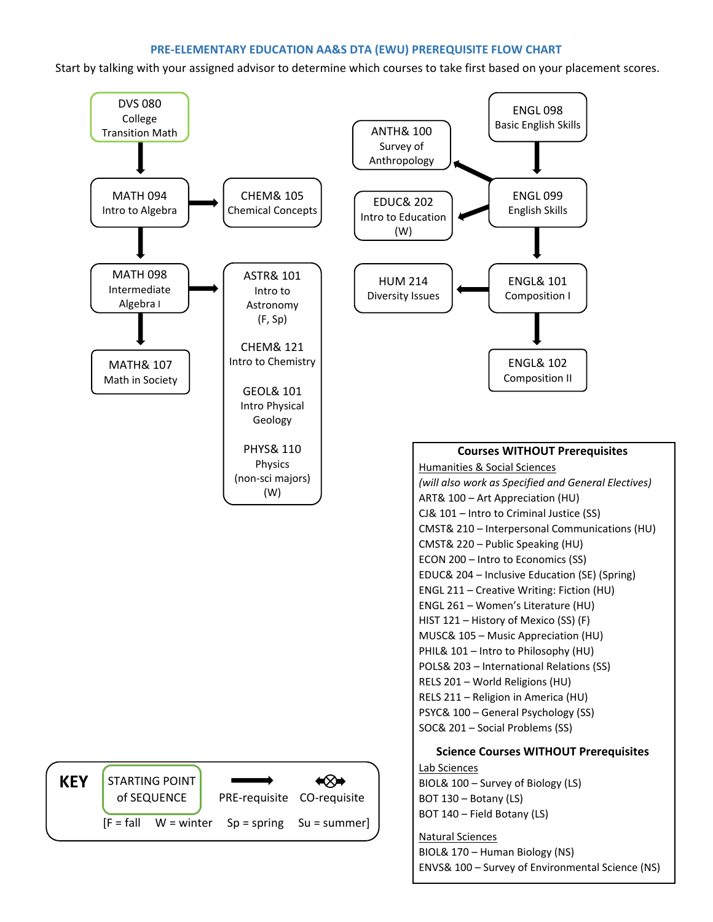## **PRE-ELEMENTARY EDUCATION AA&S DTA (EWU) PREREQUISITE FLOW CHART**

Start by talking with your assigned advisor to determine which courses to take first based on your placement scores.



ENVS& 100 – Survey of Environmental Science (NS)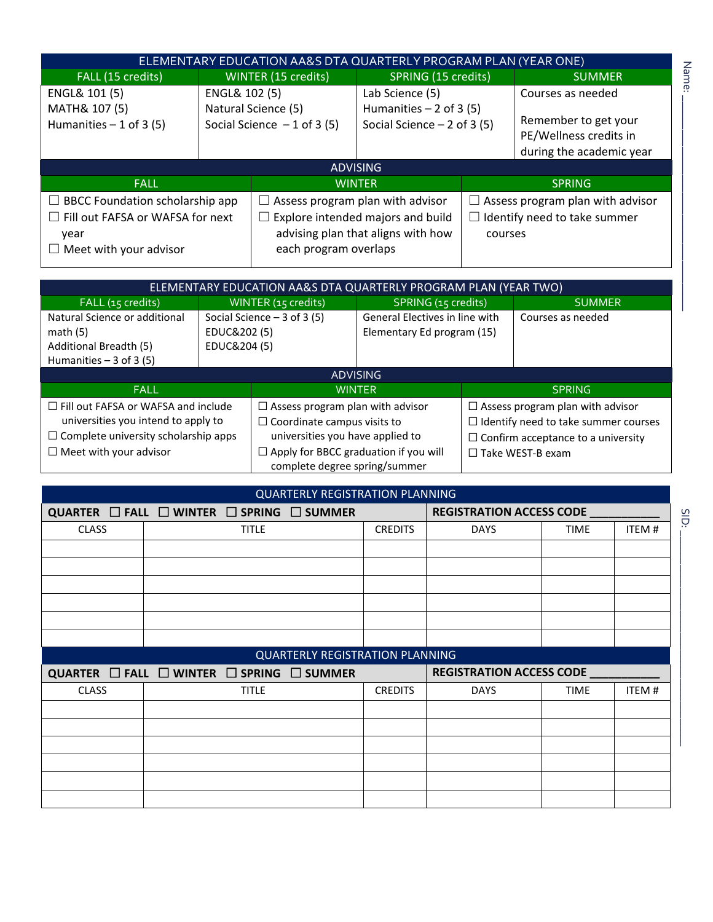|                                                                                                                            |                     | <u>ELEMENTARY EDUC</u> ATION AA&S DTA QUARTERLY PROGRAM PLAN (YEAR ONE) |                                                                             |         |                                                                                                 |  |
|----------------------------------------------------------------------------------------------------------------------------|---------------------|-------------------------------------------------------------------------|-----------------------------------------------------------------------------|---------|-------------------------------------------------------------------------------------------------|--|
| FALL (15 credits)                                                                                                          | WINTER (15 credits) |                                                                         | SPRING (15 credits)                                                         |         | <b>SUMMER</b>                                                                                   |  |
| ENGL& 101 (5)<br>MATH& 107 (5)<br>Humanities $-1$ of 3 (5)                                                                 | ENGL& 102 (5)       | Natural Science (5)<br>Social Science $-1$ of 3 (5)                     | Lab Science (5)<br>Humanities $-2$ of 3 (5)<br>Social Science $-2$ of 3 (5) |         | Courses as needed<br>Remember to get your<br>PE/Wellness credits in<br>during the academic year |  |
|                                                                                                                            |                     |                                                                         | <b>ADVISING</b>                                                             |         |                                                                                                 |  |
| <b>FALL</b>                                                                                                                |                     |                                                                         | <b>WINTER</b>                                                               |         | <b>SPRING</b>                                                                                   |  |
| $\Box$ BBCC Foundation scholarship app<br>$\Box$ Fill out FAFSA or WAFSA for next<br>year<br>$\Box$ Meet with your advisor |                     | $\Box$ Assess program plan with advisor<br>each program overlaps        | Explore intended majors and build<br>advising plan that aligns with how     | courses | $\Box$ Assess program plan with advisor<br>$\Box$ Identify need to take summer                  |  |

|                                                                                                   |                                                              | ELEMENTARY EDUCATION AA&S DTA QUARTERLY PROGRAM PLAN (YEAR TWO)               |                                                              |               |                                           |  |
|---------------------------------------------------------------------------------------------------|--------------------------------------------------------------|-------------------------------------------------------------------------------|--------------------------------------------------------------|---------------|-------------------------------------------|--|
| FALL (15 credits)                                                                                 | WINTER (15 credits)                                          |                                                                               | SPRING (15 credits)                                          |               | <b>SUMMER</b>                             |  |
| Natural Science or additional<br>math $(5)$<br>Additional Breadth (5)<br>Humanities $-3$ of 3 (5) | Social Science $-3$ of 3 (5)<br>EDUC&202 (5)<br>EDUC&204 (5) |                                                                               | General Electives in line with<br>Elementary Ed program (15) |               | Courses as needed                         |  |
|                                                                                                   |                                                              |                                                                               | <b>ADVISING</b>                                              |               |                                           |  |
| <b>FALL</b>                                                                                       |                                                              | <b>WINTER</b>                                                                 |                                                              | <b>SPRING</b> |                                           |  |
| $\Box$ Fill out FAFSA or WAFSA and include                                                        | $\Box$ Assess program plan with advisor                      |                                                                               | $\Box$ Assess program plan with advisor                      |               |                                           |  |
| universities you intend to apply to<br>$\Box$ Coordinate campus visits to                         |                                                              | $\Box$ Identify need to take summer courses                                   |                                                              |               |                                           |  |
| $\Box$ Complete university scholarship apps                                                       |                                                              | universities you have applied to                                              |                                                              |               | $\Box$ Confirm acceptance to a university |  |
| $\Box$ Meet with your advisor                                                                     |                                                              | $\Box$ Apply for BBCC graduation if you will<br>complete degree spring/summer |                                                              |               | $\Box$ Take WEST-B exam                   |  |

|              | <b>QUARTERLY REGISTRATION PLANNING</b>                        |                |                                 |             |       |
|--------------|---------------------------------------------------------------|----------------|---------------------------------|-------------|-------|
|              | QUARTER $\Box$ FALL $\Box$ WINTER $\Box$ SPRING $\Box$ SUMMER |                | <b>REGISTRATION ACCESS CODE</b> |             |       |
| <b>CLASS</b> | <b>TITLE</b>                                                  | <b>CREDITS</b> | <b>DAYS</b>                     | <b>TIME</b> | ITEM# |
|              |                                                               |                |                                 |             |       |
|              |                                                               |                |                                 |             |       |
|              |                                                               |                |                                 |             |       |
|              |                                                               |                |                                 |             |       |
|              |                                                               |                |                                 |             |       |
|              |                                                               |                |                                 |             |       |
|              |                                                               |                |                                 |             |       |
|              | <b>QUARTERLY REGISTRATION PLANNING</b>                        |                |                                 |             |       |
|              | QUARTER $\Box$ FALL $\Box$ WINTER $\Box$ SPRING $\Box$ SUMMER |                | <b>REGISTRATION ACCESS CODE</b> |             |       |
| <b>CLASS</b> | <b>TITLE</b>                                                  | <b>CREDITS</b> | <b>DAYS</b>                     | <b>TIME</b> | ITEM# |
|              |                                                               |                |                                 |             |       |
|              |                                                               |                |                                 |             |       |
|              |                                                               |                |                                 |             |       |
|              |                                                               |                |                                 |             |       |
|              |                                                               |                |                                 |             |       |

SID: SID:

Name: \_\_\_\_\_\_\_\_\_\_\_\_\_\_\_\_\_\_\_\_\_\_\_\_\_\_\_\_\_\_\_\_\_\_\_\_\_\_

Name: